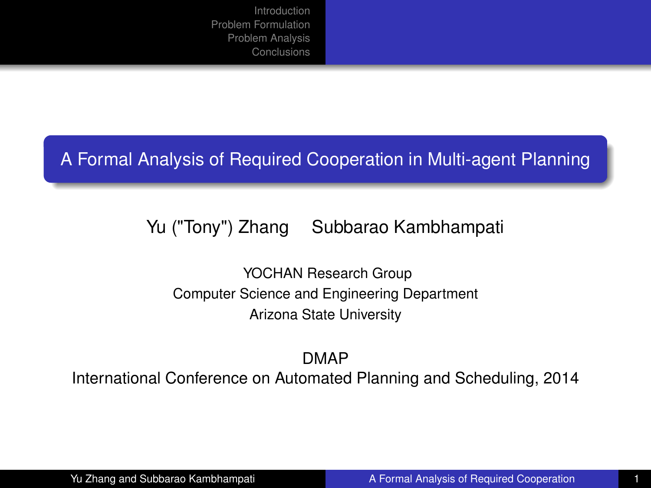#### A Formal Analysis of Required Cooperation in Multi-agent Planning

### Yu ("Tony") Zhang Subbarao Kambhampati

<span id="page-0-0"></span>YOCHAN Research Group Computer Science and Engineering Department Arizona State University

DMAP International Conference on Automated Planning and Scheduling, 2014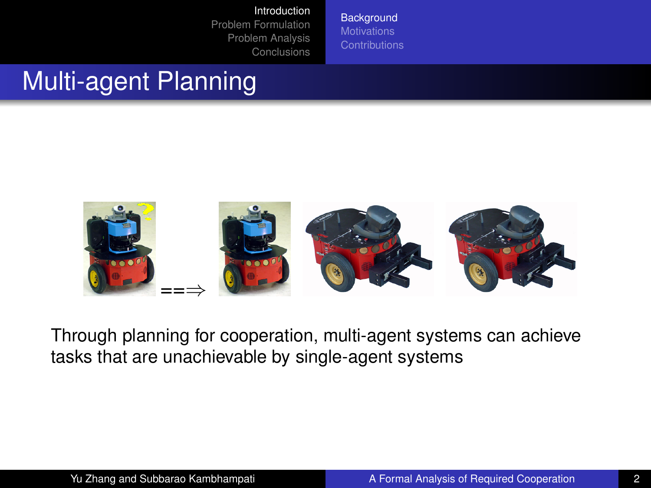<span id="page-1-0"></span>**[Background](#page-1-0) [Motivations](#page-2-0)** 

## Multi-agent Planning



Through planning for cooperation, multi-agent systems can achieve tasks that are unachievable by single-agent systems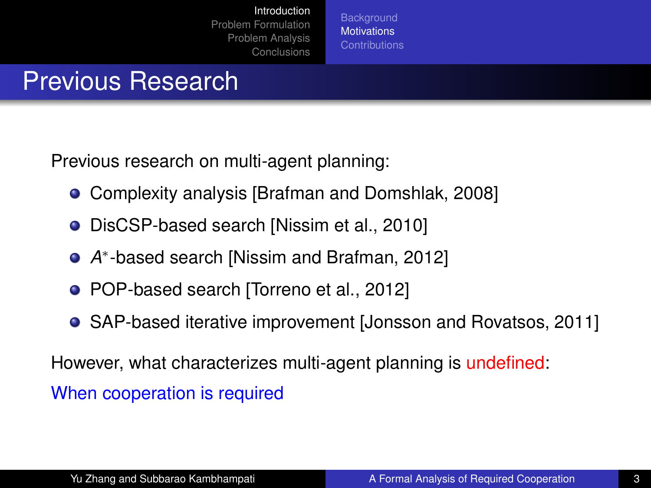<span id="page-2-0"></span>**[Background](#page-1-0) [Motivations](#page-2-0)** 

### Previous Research

Previous research on multi-agent planning:

- Complexity analysis [\[Brafman and Domshlak, 2008\]](#page-27-0)
- **•** DisCSP-based search [\[Nissim et al., 2010\]](#page-28-1)
- *A* ∗ -based search [\[Nissim and Brafman, 2012\]](#page-27-1)
- POP-based search [\[Torreno et al., 2012\]](#page-28-2)
- SAP-based iterative improvement [\[Jonsson and Rovatsos, 2011\]](#page-27-2)

However, what characterizes multi-agent planning is undefined: When cooperation is required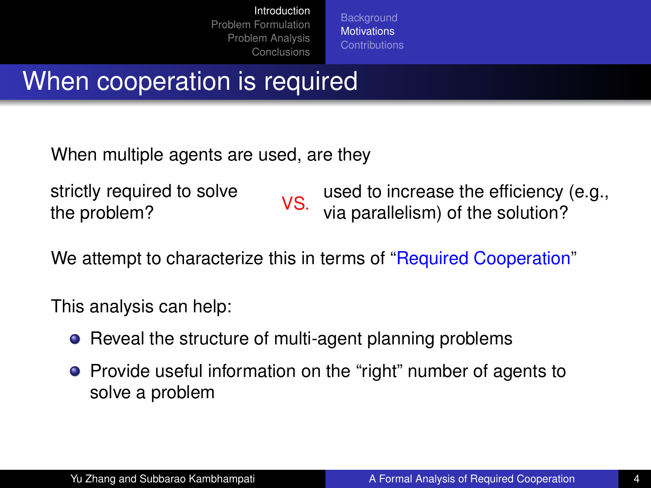**[Background](#page-1-0) [Motivations](#page-2-0)** 

### When cooperation is required

When multiple agents are used, are they

strictly required to solve

strictly required to solve volto used to increase the efficiency (e.g.,<br>the problem? via parallelism) of the solution?

We attempt to characterize this in terms of "Required Cooperation"

This analysis can help:

- Reveal the structure of multi-agent planning problems
- Provide useful information on the "right" number of agents to solve a problem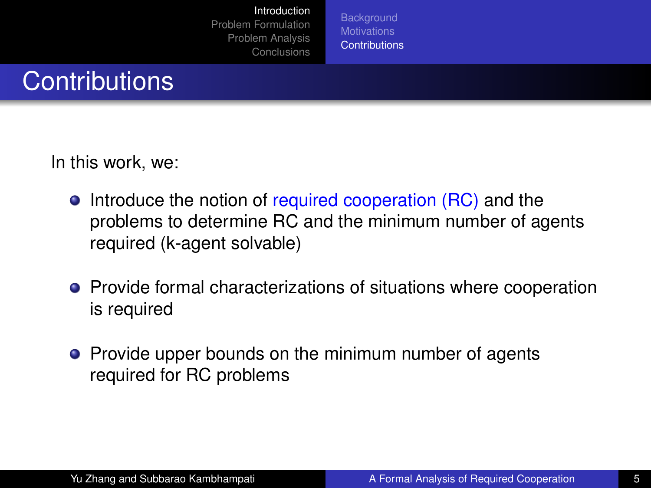<span id="page-4-0"></span>**[Background](#page-1-0) [Contributions](#page-4-0)** 

### **Contributions**

In this work, we:

- Introduce the notion of required cooperation (RC) and the problems to determine RC and the minimum number of agents required (k-agent solvable)
- **•** Provide formal characterizations of situations where cooperation is required
- Provide upper bounds on the minimum number of agents required for RC problems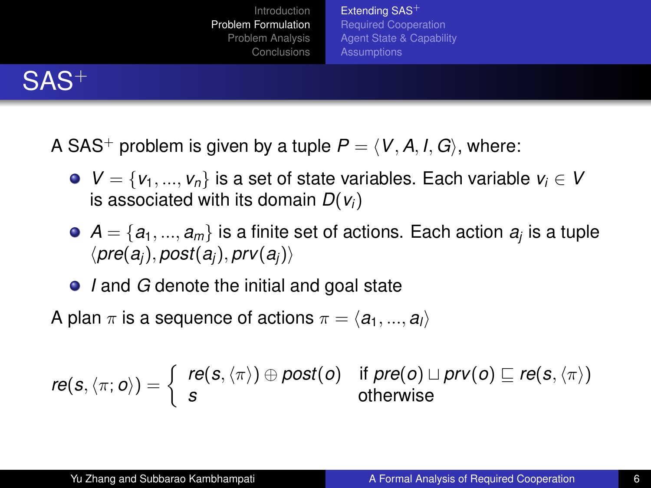<span id="page-5-0"></span>[Extending SAS](#page-5-0)<sup>+</sup> [Required Cooperation](#page-7-0) [Agent State & Capability](#page-9-0) **[Assumptions](#page-11-0)** 

## SAS<sup>+</sup>

- A SAS<sup>+</sup> problem is given by a tuple  $P = \langle V, A, I, G \rangle$ , where:
	- **•**  $V = \{v_1, ..., v_n\}$  is a set of state variables. Each variable  $v_i \in V$ is associated with its domain *D*(*vi*)
	- $\mathcal{A} = \{ \boldsymbol{a_1},...,\boldsymbol{a_m} \}$  is a finite set of actions. Each action  $\boldsymbol{a_j}$  is a tuple  $\langle pre(a_i), post(a_i), prv(a_i) \rangle$
	- *I* and *G* denote the initial and goal state

A plan  $\pi$  is a sequence of actions  $\pi = \langle a_1, ..., a_l \rangle$ 

$$
\textit{re}(s, \langle \pi; o \rangle) = \left\{ \begin{array}{ll} \textit{re}(s, \langle \pi \rangle) \oplus \textit{post}(o) & \text{if } \textit{pre}(o) \sqcup \textit{prv}(o) \sqsubseteq \textit{re}(s, \langle \pi \rangle) \\ s & \text{otherwise} \end{array} \right.
$$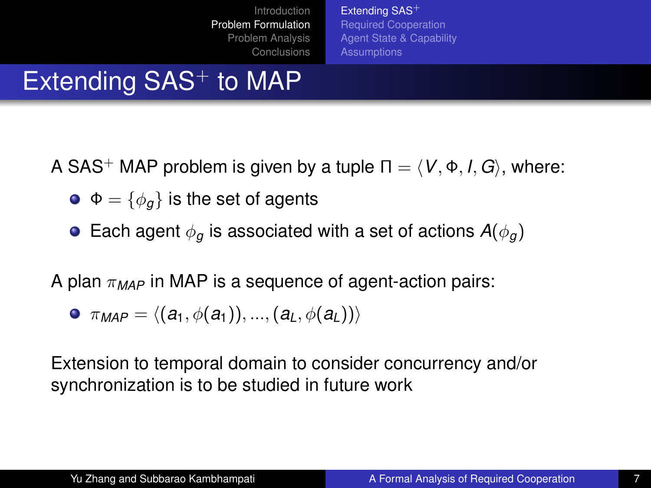[Extending SAS](#page-5-0)<sup>+</sup> [Required Cooperation](#page-7-0) [Agent State & Capability](#page-9-0) **[Assumptions](#page-11-0)** 

# Extending  $SAS<sup>+</sup>$  to MAP

A SAS<sup>+</sup> MAP problem is given by a tuple  $\Pi = \langle V, \Phi, I, G \rangle$ , where:

- $\bullet \bullet = {\phi_a}$  is the set of agents
- **Each agent**  $\phi_{\alpha}$  **is associated with a set of actions**  $A(\phi_{\alpha})$

A plan  $\pi_{MAP}$  in MAP is a sequence of agent-action pairs:

$$
\bullet\ \pi_{MAP}=\langle (a_1,\phi(a_1)),...,(a_L,\phi(a_L))\rangle
$$

Extension to temporal domain to consider concurrency and/or synchronization is to be studied in future work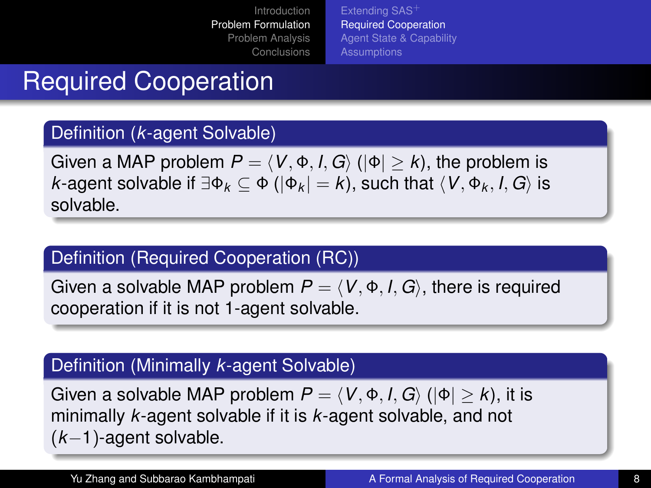<span id="page-7-0"></span>[Extending SAS](#page-5-0)<sup>-</sup> [Required Cooperation](#page-7-0) [Agent State & Capability](#page-9-0) **[Assumptions](#page-11-0)** 

## Required Cooperation

#### Definition (*k*-agent Solvable)

Given a MAP problem  $P = \langle V, \Phi, I, G \rangle$  ( $|\Phi| \geq k$ ), the problem is *k*-agent solvable if  $\exists \Phi_k \subseteq \Phi$  ( $|\Phi_k| = k$ ), such that  $\langle V, \Phi_k, I, G \rangle$  is solvable.

#### Definition (Required Cooperation (RC))

Given a solvable MAP problem  $P = \langle V, \Phi, I, G \rangle$ , there is required cooperation if it is not 1-agent solvable.

#### Definition (Minimally *k*-agent Solvable)

Given a solvable MAP problem  $P = \langle V, \Phi, I, G \rangle$  ( $|\Phi| > k$ ), it is minimally *k*-agent solvable if it is *k*-agent solvable, and not (*k*−1)-agent solvable.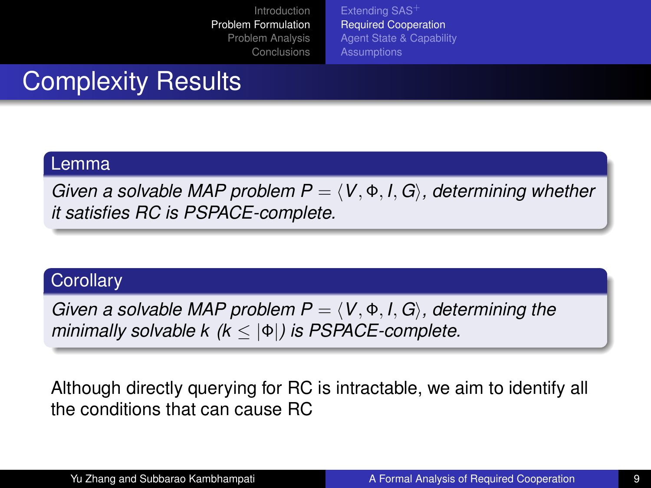[Extending SAS](#page-5-0)<sup>+</sup> [Required Cooperation](#page-7-0) [Agent State & Capability](#page-9-0) **[Assumptions](#page-11-0)** 

## Complexity Results

#### Lemma

*Given a solvable MAP problem*  $P = \langle V, \Phi, I, G \rangle$ *, determining whether it satisfies RC is PSPACE-complete.*

#### **Corollary**

*Given a solvable MAP problem*  $P = \langle V, \Phi, I, G \rangle$ *, determining the minimally solvable k (k* ≤ |Φ|*) is PSPACE-complete.*

Although directly querying for RC is intractable, we aim to identify all the conditions that can cause RC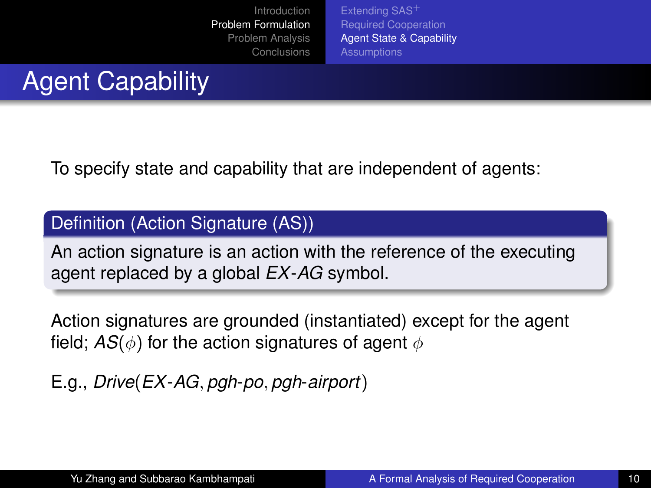<span id="page-9-0"></span>[Extending SAS](#page-5-0)<sup>-</sup> [Required Cooperation](#page-7-0) [Agent State & Capability](#page-9-0) **[Assumptions](#page-11-0)** 

# Agent Capability

To specify state and capability that are independent of agents:

#### Definition (Action Signature (AS))

An action signature is an action with the reference of the executing agent replaced by a global *EX*-*AG* symbol.

Action signatures are grounded (instantiated) except for the agent field;  $AS(\phi)$  for the action signatures of agent  $\phi$ 

E.g., *Drive*(*EX*-*AG*, *pgh*-*po*, *pgh*-*airport*)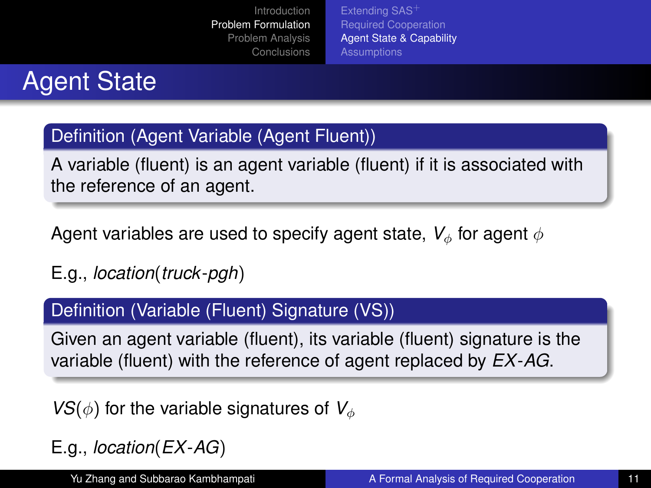[Extending SAS](#page-5-0)<sup>-</sup> [Required Cooperation](#page-7-0) [Agent State & Capability](#page-9-0) **[Assumptions](#page-11-0)** 

# Agent State

### Definition (Agent Variable (Agent Fluent))

A variable (fluent) is an agent variable (fluent) if it is associated with the reference of an agent.

Agent variables are used to specify agent state,  $V_{\phi}$  for agent  $\phi$ 

E.g., *location*(*truck*-*pgh*)

#### Definition (Variable (Fluent) Signature (VS))

Given an agent variable (fluent), its variable (fluent) signature is the variable (fluent) with the reference of agent replaced by *EX*-*AG*.

 $VS(\phi)$  for the variable signatures of  $V_{\phi}$ 

E.g., *location*(*EX*-*AG*)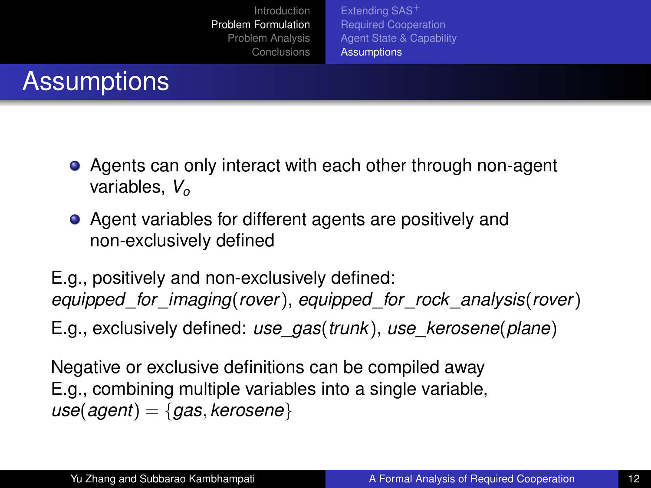<span id="page-11-0"></span>[Extending SAS](#page-5-0)<sup>-</sup> [Required Cooperation](#page-7-0) [Agent State & Capability](#page-9-0) **[Assumptions](#page-11-0)** 

## **Assumptions**

- Agents can only interact with each other through non-agent variables, *V<sup>o</sup>*
- Agent variables for different agents are positively and non-exclusively defined
- E.g., positively and non-exclusively defined: *equipped*\_*for*\_*imaging*(*rover*), *equipped*\_*for*\_*rock*\_*analysis*(*rover*)
- E.g., exclusively defined: *use*\_*gas*(*trunk*), *use*\_*kerosene*(*plane*)

Negative or exclusive definitions can be compiled away E.g., combining multiple variables into a single variable, *use*(*agent*) = {*gas*, *kerosene*}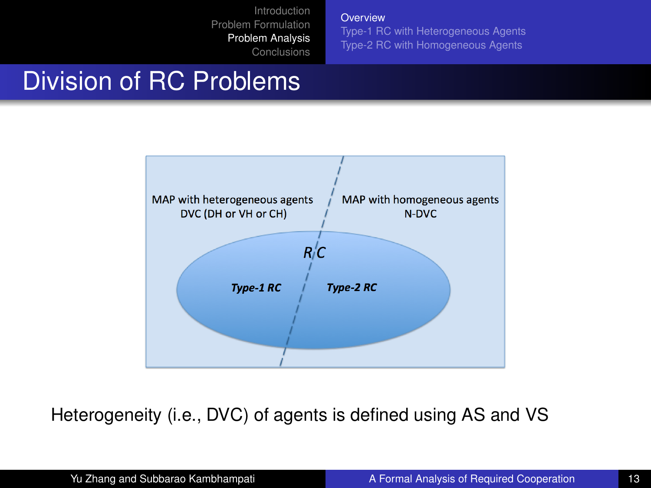**[Overview](#page-12-0)** 

<span id="page-12-0"></span>[Type-1 RC with Heterogeneous Agents](#page-14-0) [Type-2 RC with Homogeneous Agents](#page-17-0)

### Division of RC Problems



Heterogeneity (i.e., DVC) of agents is defined using AS and VS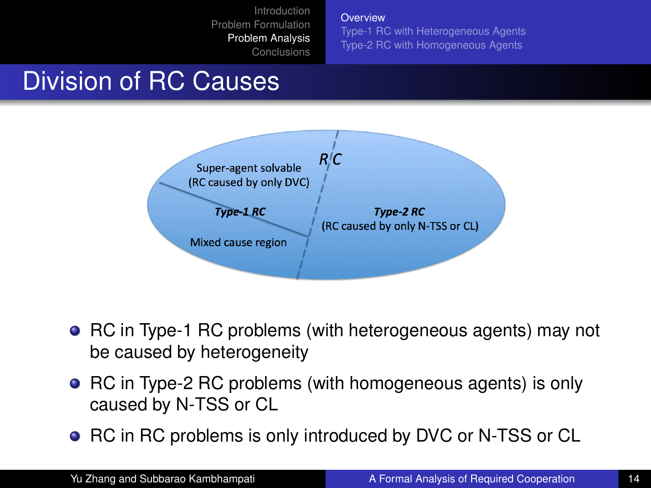**[Overview](#page-12-0)** 

[Type-1 RC with Heterogeneous Agents](#page-14-0) [Type-2 RC with Homogeneous Agents](#page-17-0)

### Division of RC Causes



- RC in Type-1 RC problems (with heterogeneous agents) may not be caused by heterogeneity
- RC in Type-2 RC problems (with homogeneous agents) is only caused by N-TSS or CL
- RC in RC problems is only introduced by DVC or N-TSS or CL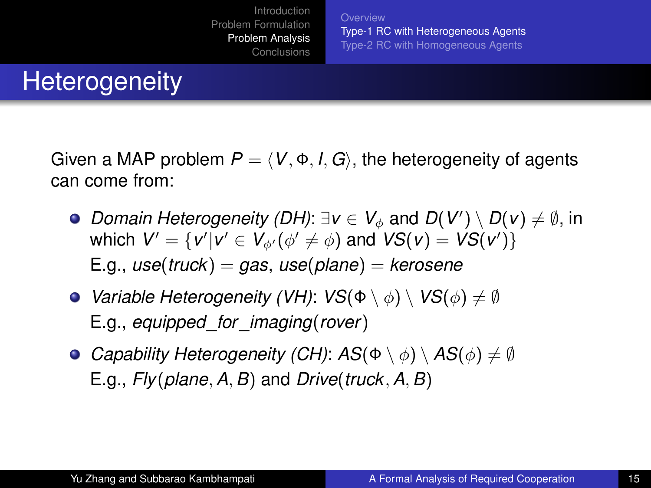<span id="page-14-0"></span>**[Overview](#page-12-0)** [Type-1 RC with Heterogeneous Agents](#page-14-0) [Type-2 RC with Homogeneous Agents](#page-17-0)

### **Heterogeneity**

Given a MAP problem  $P = \langle V, \Phi, I, G \rangle$ , the heterogeneity of agents can come from:

- *Domain Heterogeneity (DH)*:  $\exists$ *v* ∈  $V_{\phi}$  and  $D(V') \setminus D(v) \neq \emptyset$ , in which  $V' = \{v'| v' \in V_{\phi'}(\phi' \neq \phi) \text{ and } VS(v) = VS(v')\}$ E.g., *use*(*truck*) = *gas*, *use*(*plane*) = *kerosene*
- **•** Variable Heterogeneity (VH):  $VS(\Phi \setminus \phi) \setminus VS(\phi) \neq \emptyset$ E.g., *equipped*\_*for*\_*imaging*(*rover*)
- **•** Capability Heterogeneity (CH):  $AS(\Phi \setminus \phi) \setminus AS(\phi) \neq \emptyset$ E.g., *Fly*(*plane*, *A*, *B*) and *Drive*(*truck*, *A*, *B*)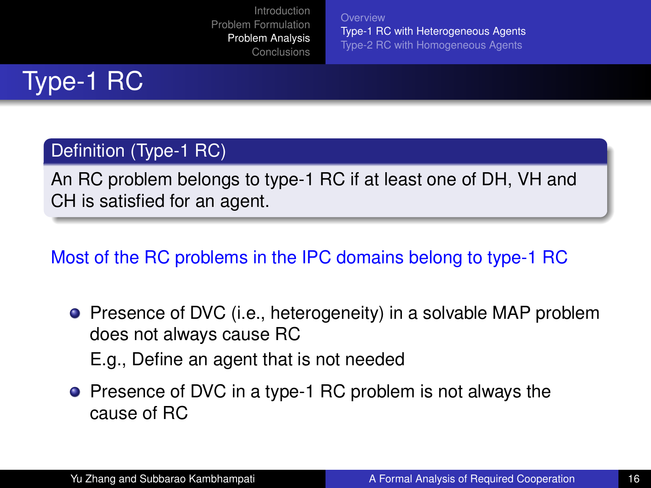**[Overview](#page-12-0)** [Type-1 RC with Heterogeneous Agents](#page-14-0) [Type-2 RC with Homogeneous Agents](#page-17-0)

# Type-1 RC

### Definition (Type-1 RC)

An RC problem belongs to type-1 RC if at least one of DH, VH and CH is satisfied for an agent.

### Most of the RC problems in the IPC domains belong to type-1 RC

- **•** Presence of DVC (i.e., heterogeneity) in a solvable MAP problem does not always cause RC E.g., Define an agent that is not needed
- Presence of DVC in a type-1 RC problem is not always the cause of RC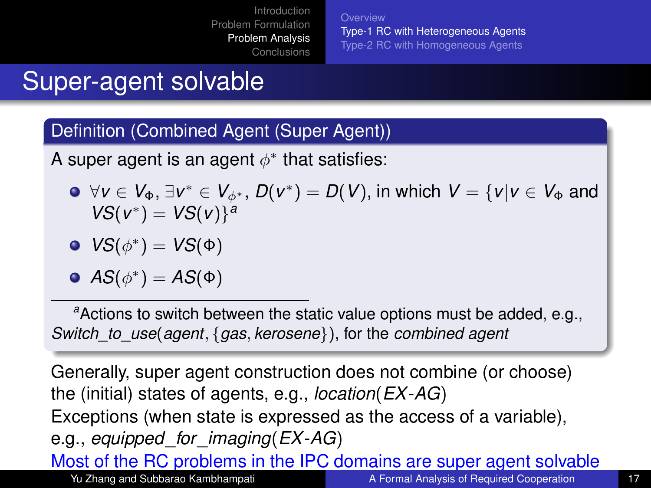**[Overview](#page-12-0)** [Type-1 RC with Heterogeneous Agents](#page-14-0) [Type-2 RC with Homogeneous Agents](#page-17-0)

### Super-agent solvable

#### Definition (Combined Agent (Super Agent))

A super agent is an agent  $\phi^*$  that satisfies:

∀*v* ∈ *V*Φ, ∃*v* <sup>∗</sup> ∈ *V*φ<sup>∗</sup> , *D*(*v* ∗ ) = *D*(*V*), in which *V* = {*v*|*v* ∈ *V*<sup>Φ</sup> and  $VS(v^*) = VS(v)^{a}$ 

• 
$$
VS(\phi^*) = VS(\Phi)
$$

• 
$$
AS(\phi^*) = AS(\Phi)
$$

*<sup>a</sup>*Actions to switch between the static value options must be added, e.g., *Switch*\_*to*\_*use*(*agent*, {*gas*, *kerosene*}), for the *combined agent*

Generally, super agent construction does not combine (or choose) the (initial) states of agents, e.g., *location*(*EX*-*AG*) Exceptions (when state is expressed as the access of a variable), e.g., *equipped*\_*for*\_*imaging*(*EX*-*AG*)

Most of the RC problems in the IPC domains are super agent solvable Yu Zhang and Subbarao Kambhampati [A Formal Analysis of Required Cooperation](#page-0-0) 17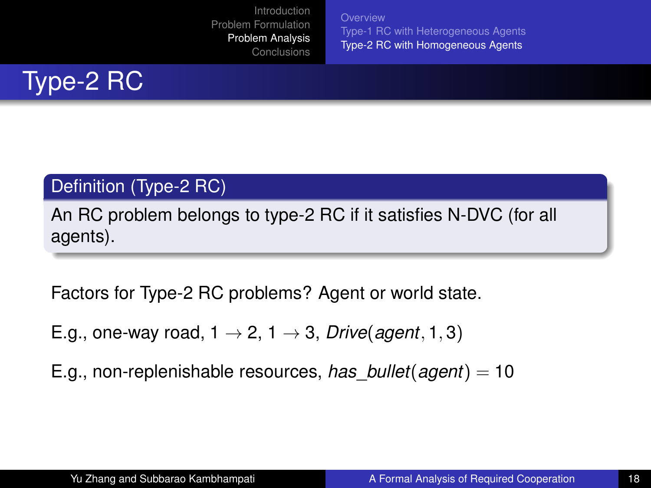<span id="page-17-0"></span>**[Overview](#page-12-0)** [Type-1 RC with Heterogeneous Agents](#page-14-0) [Type-2 RC with Homogeneous Agents](#page-17-0)



#### Definition (Type-2 RC)

An RC problem belongs to type-2 RC if it satisfies N-DVC (for all agents).

Factors for Type-2 RC problems? Agent or world state.

E.g., one-way road,  $1 \rightarrow 2$ ,  $1 \rightarrow 3$ , *Drive*(*agent*, 1, 3)

E.g., non-replenishable resources, *has*\_*bullet*(*agent*) = 10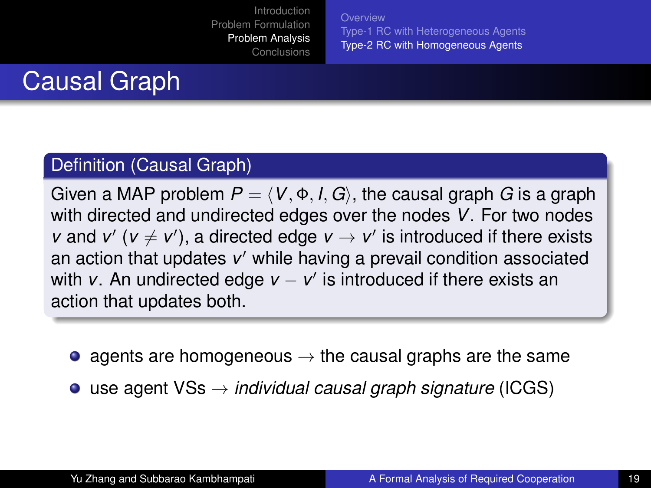**[Overview](#page-12-0)** [Type-1 RC with Heterogeneous Agents](#page-14-0) [Type-2 RC with Homogeneous Agents](#page-17-0)

## Causal Graph

#### Definition (Causal Graph)

Given a MAP problem  $P = \langle V, \Phi, I, G \rangle$ , the causal graph *G* is a graph with directed and undirected edges over the nodes *V*. For two nodes *v* and *v'* ( $v \neq v'$ ), a directed edge  $v \rightarrow v'$  is introduced if there exists an action that updates v' while having a prevail condition associated with *v*. An undirected edge *v* − *v'* is introduced if there exists an action that updates both.

- agents are homogeneous  $\rightarrow$  the causal graphs are the same
- use agent VSs → *individual causal graph signature* (ICGS)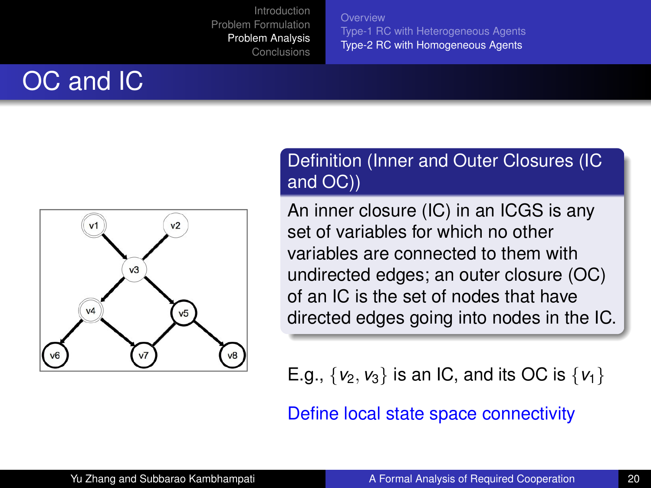**[Overview](#page-12-0)** [Type-1 RC with Heterogeneous Agents](#page-14-0) [Type-2 RC with Homogeneous Agents](#page-17-0)

# OC and IC



#### Definition (Inner and Outer Closures (IC and OC))

An inner closure (IC) in an ICGS is any set of variables for which no other variables are connected to them with undirected edges; an outer closure (OC) of an IC is the set of nodes that have directed edges going into nodes in the IC.

E.g.,  $\{v_2, v_3\}$  is an IC, and its OC is  $\{v_1\}$ 

Define local state space connectivity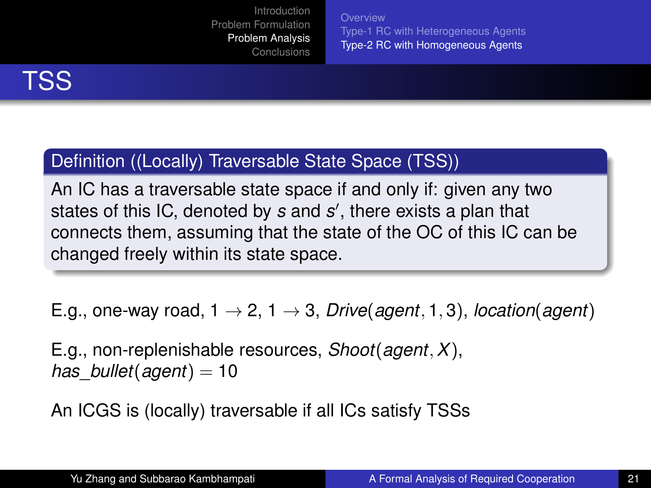**[Overview](#page-12-0)** [Type-1 RC with Heterogeneous Agents](#page-14-0) [Type-2 RC with Homogeneous Agents](#page-17-0)



### Definition ((Locally) Traversable State Space (TSS))

An IC has a traversable state space if and only if: given any two states of this IC, denoted by *s* and *s'*, there exists a plan that connects them, assuming that the state of the OC of this IC can be changed freely within its state space.

E.g., one-way road,  $1 \rightarrow 2$ ,  $1 \rightarrow 3$ , *Drive*(*agent*, 1, 3), *location*(*agent*)

E.g., non-replenishable resources, *Shoot*(*agent*, *X*), *has*\_*bullet*(*agent*) = 10

An ICGS is (locally) traversable if all ICs satisfy TSSs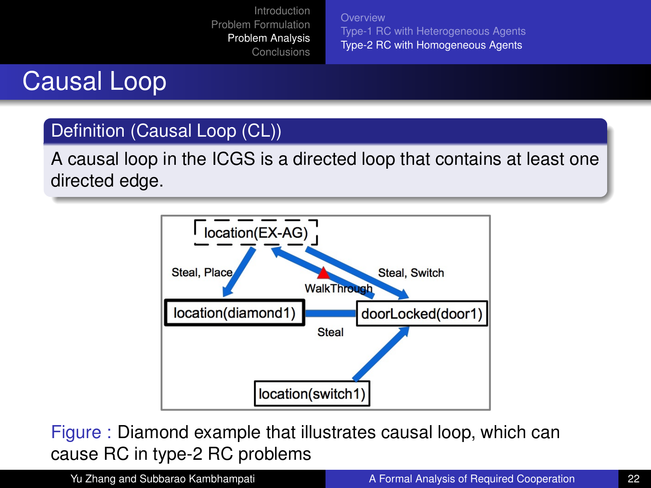**[Overview](#page-12-0)** [Type-1 RC with Heterogeneous Agents](#page-14-0) [Type-2 RC with Homogeneous Agents](#page-17-0)

## Causal Loop

#### Definition (Causal Loop (CL))

A causal loop in the ICGS is a directed loop that contains at least one directed edge.



Figure : Diamond example that illustrates causal loop, which can cause RC in type-2 RC problems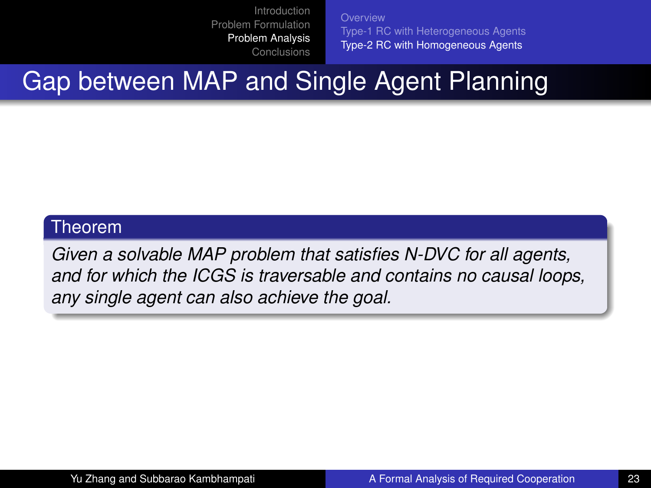**[Overview](#page-12-0)** [Type-1 RC with Heterogeneous Agents](#page-14-0) [Type-2 RC with Homogeneous Agents](#page-17-0)

# Gap between MAP and Single Agent Planning

#### Theorem

*Given a solvable MAP problem that satisfies N-DVC for all agents, and for which the ICGS is traversable and contains no causal loops, any single agent can also achieve the goal.*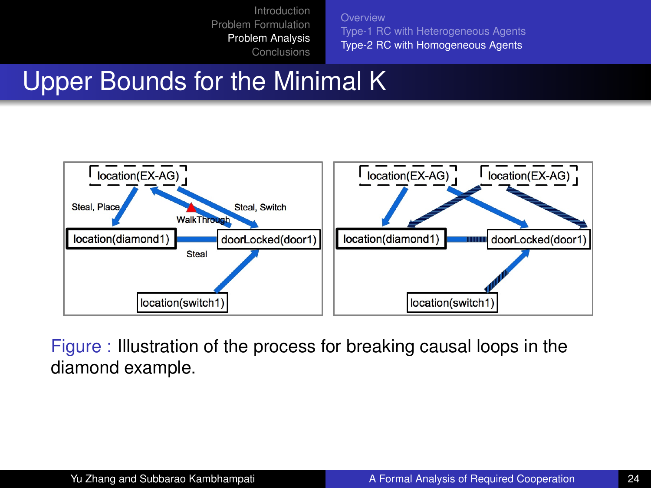**[Overview](#page-12-0)** [Type-1 RC with Heterogeneous Agents](#page-14-0) [Type-2 RC with Homogeneous Agents](#page-17-0)

### Upper Bounds for the Minimal K



Figure : Illustration of the process for breaking causal loops in the diamond example.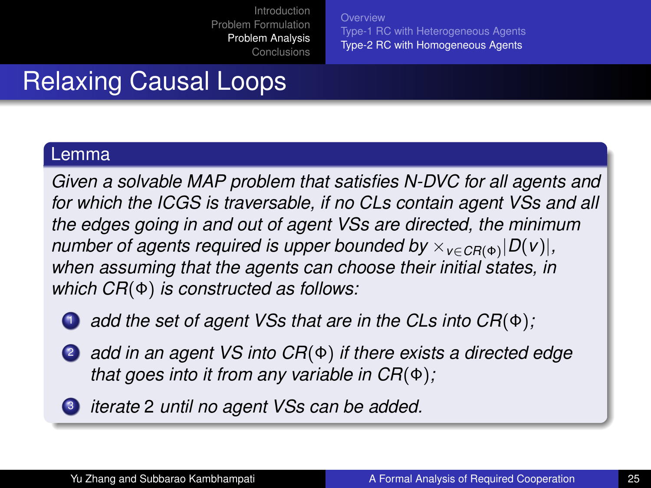**[Overview](#page-12-0)** [Type-1 RC with Heterogeneous Agents](#page-14-0) [Type-2 RC with Homogeneous Agents](#page-17-0)

# Relaxing Causal Loops

#### Lemma

*Given a solvable MAP problem that satisfies N-DVC for all agents and for which the ICGS is traversable, if no CLs contain agent VSs and all the edges going in and out of agent VSs are directed, the minimum number of agents required is upper bounded by*  $\times$ <sub>*v∈CR*(Φ)</sub> $|D(v)|$ *, when assuming that the agents can choose their initial states, in which CR*(Φ) *is constructed as follows:*

<sup>1</sup> *add the set of agent VSs that are in the CLs into CR*(Φ)*;*

- <sup>2</sup> *add in an agent VS into CR*(Φ) *if there exists a directed edge that goes into it from any variable in CR*(Φ)*;*
- <sup>3</sup> *iterate* 2 *until no agent VSs can be added.*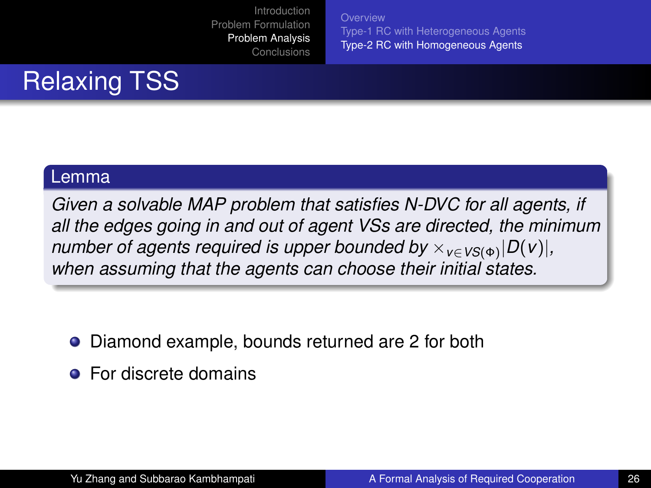**[Overview](#page-12-0)** [Type-1 RC with Heterogeneous Agents](#page-14-0) [Type-2 RC with Homogeneous Agents](#page-17-0)

# Relaxing TSS

#### Lemma

*Given a solvable MAP problem that satisfies N-DVC for all agents, if all the edges going in and out of agent VSs are directed, the minimum number of agents required is upper bounded by*  $\times_{V \in VS(\Phi)} |D(V)|$ , *when assuming that the agents can choose their initial states.*

- Diamond example, bounds returned are 2 for both
- **•** For discrete domains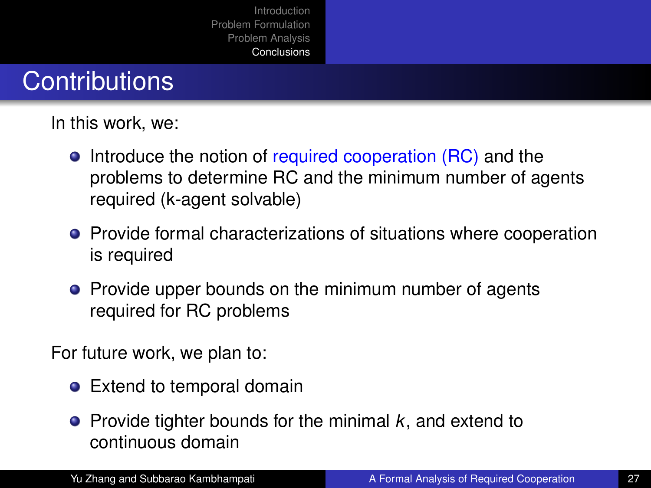### **Contributions**

In this work, we:

- Introduce the notion of required cooperation (RC) and the problems to determine RC and the minimum number of agents required (k-agent solvable)
- **•** Provide formal characterizations of situations where cooperation is required
- Provide upper bounds on the minimum number of agents required for RC problems

For future work, we plan to:

- Extend to temporal domain
- <span id="page-26-0"></span>● Provide tighter bounds for the minimal *k*, and extend to continuous domain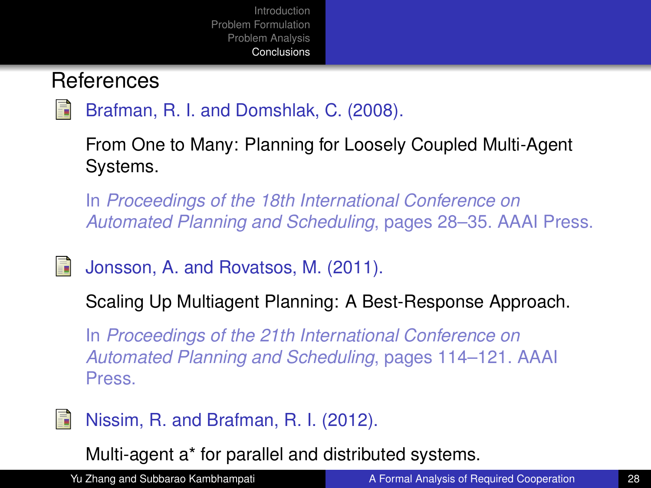### <span id="page-27-0"></span>References

<span id="page-27-2"></span>E.



From One to Many: Planning for Loosely Coupled Multi-Agent Systems.

In *Proceedings of the 18th International Conference on Automated Planning and Scheduling*, pages 28–35. AAAI Press.

Jonsson, A. and Rovatsos, M. (2011).

Scaling Up Multiagent Planning: A Best-Response Approach.

In *Proceedings of the 21th International Conference on Automated Planning and Scheduling*, pages 114–121. AAAI Press.

<span id="page-27-1"></span>

Multi-agent a\* for parallel and distributed systems.